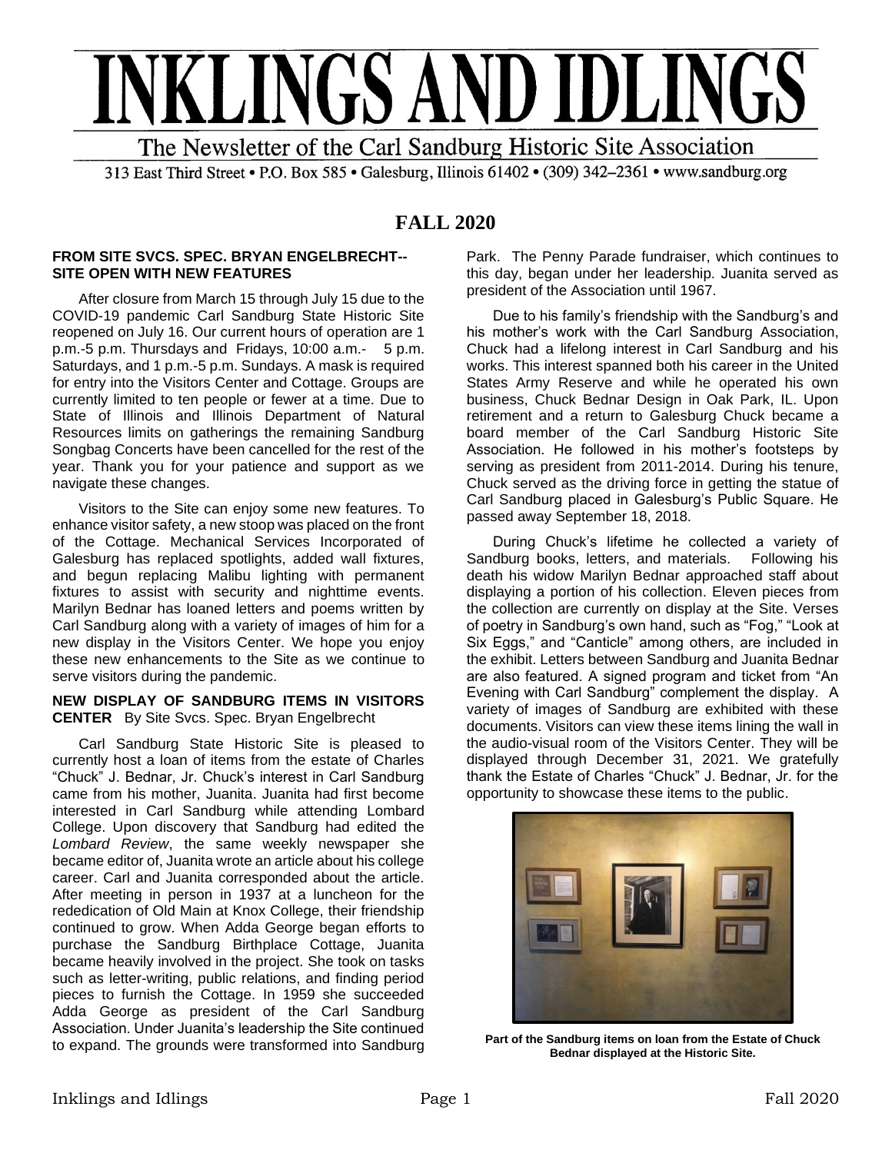

313 East Third Street . P.O. Box 585 . Galesburg, Illinois 61402 . (309) 342-2361 . www.sandburg.org

# **FALL 2020**

#### **FROM SITE SVCS. SPEC. BRYAN ENGELBRECHT-- SITE OPEN WITH NEW FEATURES**

After closure from March 15 through July 15 due to the COVID-19 pandemic Carl Sandburg State Historic Site reopened on July 16. Our current hours of operation are 1 p.m.-5 p.m. Thursdays and Fridays, 10:00 a.m.- 5 p.m. Saturdays, and 1 p.m.-5 p.m. Sundays. A mask is required for entry into the Visitors Center and Cottage. Groups are currently limited to ten people or fewer at a time. Due to State of Illinois and Illinois Department of Natural Resources limits on gatherings the remaining Sandburg Songbag Concerts have been cancelled for the rest of the year. Thank you for your patience and support as we navigate these changes.

Visitors to the Site can enjoy some new features. To enhance visitor safety, a new stoop was placed on the front of the Cottage. Mechanical Services Incorporated of Galesburg has replaced spotlights, added wall fixtures, and begun replacing Malibu lighting with permanent fixtures to assist with security and nighttime events. Marilyn Bednar has loaned letters and poems written by Carl Sandburg along with a variety of images of him for a new display in the Visitors Center. We hope you enjoy these new enhancements to the Site as we continue to serve visitors during the pandemic.

#### **NEW DISPLAY OF SANDBURG ITEMS IN VISITORS CENTER** By Site Svcs. Spec. Bryan Engelbrecht

Carl Sandburg State Historic Site is pleased to currently host a loan of items from the estate of Charles "Chuck" J. Bednar, Jr. Chuck's interest in Carl Sandburg came from his mother, Juanita. Juanita had first become interested in Carl Sandburg while attending Lombard College. Upon discovery that Sandburg had edited the *Lombard Review*, the same weekly newspaper she became editor of, Juanita wrote an article about his college career. Carl and Juanita corresponded about the article. After meeting in person in 1937 at a luncheon for the rededication of Old Main at Knox College, their friendship continued to grow. When Adda George began efforts to purchase the Sandburg Birthplace Cottage, Juanita became heavily involved in the project. She took on tasks such as letter-writing, public relations, and finding period pieces to furnish the Cottage. In 1959 she succeeded Adda George as president of the Carl Sandburg Association. Under Juanita's leadership the Site continued to expand. The grounds were transformed into Sandburg

Park. The Penny Parade fundraiser, which continues to this day, began under her leadership. Juanita served as president of the Association until 1967.

Due to his family's friendship with the Sandburg's and his mother's work with the Carl Sandburg Association, Chuck had a lifelong interest in Carl Sandburg and his works. This interest spanned both his career in the United States Army Reserve and while he operated his own business, Chuck Bednar Design in Oak Park, IL. Upon retirement and a return to Galesburg Chuck became a board member of the Carl Sandburg Historic Site Association. He followed in his mother's footsteps by serving as president from 2011-2014. During his tenure, Chuck served as the driving force in getting the statue of Carl Sandburg placed in Galesburg's Public Square. He passed away September 18, 2018.

During Chuck's lifetime he collected a variety of Sandburg books, letters, and materials. Following his death his widow Marilyn Bednar approached staff about displaying a portion of his collection. Eleven pieces from the collection are currently on display at the Site. Verses of poetry in Sandburg's own hand, such as "Fog," "Look at Six Eggs," and "Canticle" among others, are included in the exhibit. Letters between Sandburg and Juanita Bednar are also featured. A signed program and ticket from "An Evening with Carl Sandburg" complement the display. A variety of images of Sandburg are exhibited with these documents. Visitors can view these items lining the wall in the audio-visual room of the Visitors Center. They will be displayed through December 31, 2021. We gratefully thank the Estate of Charles "Chuck" J. Bednar, Jr. for the opportunity to showcase these items to the public.



**Part of the Sandburg items on loan from the Estate of Chuck Bednar displayed at the Historic Site.**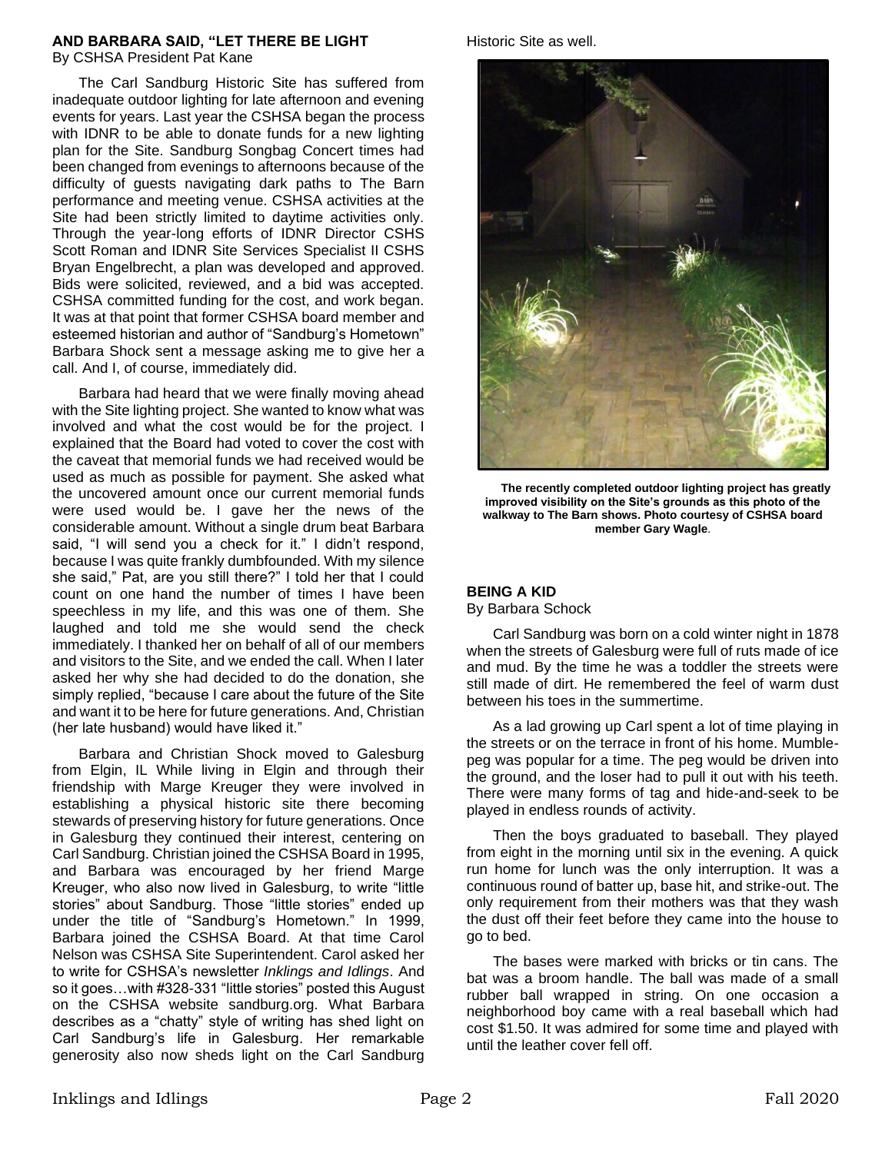#### **AND BARBARA SAID, "LET THERE BE LIGHT** By CSHSA President Pat Kane

The Carl Sandburg Historic Site has suffered from inadequate outdoor lighting for late afternoon and evening events for years. Last year the CSHSA began the process with IDNR to be able to donate funds for a new lighting plan for the Site. Sandburg Songbag Concert times had been changed from evenings to afternoons because of the difficulty of guests navigating dark paths to The Barn performance and meeting venue. CSHSA activities at the Site had been strictly limited to daytime activities only. Through the year-long efforts of IDNR Director CSHS Scott Roman and IDNR Site Services Specialist II CSHS Bryan Engelbrecht, a plan was developed and approved. Bids were solicited, reviewed, and a bid was accepted. CSHSA committed funding for the cost, and work began. It was at that point that former CSHSA board member and esteemed historian and author of "Sandburg's Hometown" Barbara Shock sent a message asking me to give her a call. And I, of course, immediately did.

Barbara had heard that we were finally moving ahead with the Site lighting project. She wanted to know what was involved and what the cost would be for the project. I explained that the Board had voted to cover the cost with the caveat that memorial funds we had received would be used as much as possible for payment. She asked what the uncovered amount once our current memorial funds were used would be. I gave her the news of the considerable amount. Without a single drum beat Barbara said, "I will send you a check for it." I didn't respond, because I was quite frankly dumbfounded. With my silence she said," Pat, are you still there?" I told her that I could count on one hand the number of times I have been speechless in my life, and this was one of them. She laughed and told me she would send the check immediately. I thanked her on behalf of all of our members and visitors to the Site, and we ended the call. When I later asked her why she had decided to do the donation, she simply replied, "because I care about the future of the Site and want it to be here for future generations. And, Christian (her late husband) would have liked it."

Barbara and Christian Shock moved to Galesburg from Elgin, IL While living in Elgin and through their friendship with Marge Kreuger they were involved in establishing a physical historic site there becoming stewards of preserving history for future generations. Once in Galesburg they continued their interest, centering on Carl Sandburg. Christian joined the CSHSA Board in 1995, and Barbara was encouraged by her friend Marge Kreuger, who also now lived in Galesburg, to write "little stories" about Sandburg. Those "little stories" ended up under the title of "Sandburg's Hometown." In 1999, Barbara joined the CSHSA Board. At that time Carol Nelson was CSHSA Site Superintendent. Carol asked her to write for CSHSA's newsletter *Inklings and Idlings*. And so it goes…with #328-331 "little stories" posted this August on the CSHSA website sandburg.org. What Barbara describes as a "chatty" style of writing has shed light on Carl Sandburg's life in Galesburg. Her remarkable generosity also now sheds light on the Carl Sandburg

Historic Site as well.



**The recently completed outdoor lighting project has greatly improved visibility on the Site's grounds as this photo of the walkway to The Barn shows. Photo courtesy of CSHSA board member Gary Wagle**.

## **BEING A KID**

By Barbara Schock

Carl Sandburg was born on a cold winter night in 1878 when the streets of Galesburg were full of ruts made of ice and mud. By the time he was a toddler the streets were still made of dirt. He remembered the feel of warm dust between his toes in the summertime.

As a lad growing up Carl spent a lot of time playing in the streets or on the terrace in front of his home. Mumblepeg was popular for a time. The peg would be driven into the ground, and the loser had to pull it out with his teeth. There were many forms of tag and hide-and-seek to be played in endless rounds of activity.

Then the boys graduated to baseball. They played from eight in the morning until six in the evening. A quick run home for lunch was the only interruption. It was a continuous round of batter up, base hit, and strike-out. The only requirement from their mothers was that they wash the dust off their feet before they came into the house to go to bed.

The bases were marked with bricks or tin cans. The bat was a broom handle. The ball was made of a small rubber ball wrapped in string. On one occasion a neighborhood boy came with a real baseball which had cost \$1.50. It was admired for some time and played with until the leather cover fell off.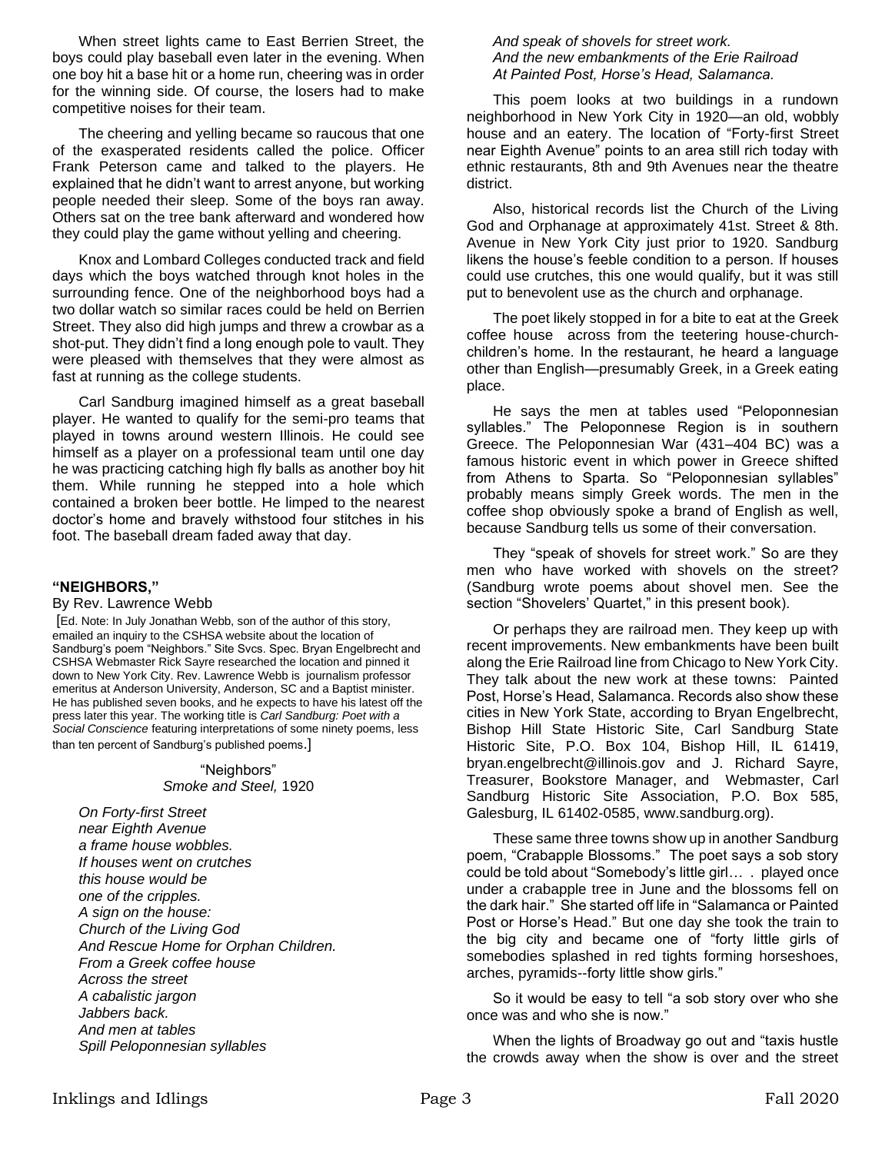When street lights came to East Berrien Street, the boys could play baseball even later in the evening. When one boy hit a base hit or a home run, cheering was in order for the winning side. Of course, the losers had to make competitive noises for their team.

The cheering and yelling became so raucous that one of the exasperated residents called the police. Officer Frank Peterson came and talked to the players. He explained that he didn't want to arrest anyone, but working people needed their sleep. Some of the boys ran away. Others sat on the tree bank afterward and wondered how they could play the game without yelling and cheering.

Knox and Lombard Colleges conducted track and field days which the boys watched through knot holes in the surrounding fence. One of the neighborhood boys had a two dollar watch so similar races could be held on Berrien Street. They also did high jumps and threw a crowbar as a shot-put. They didn't find a long enough pole to vault. They were pleased with themselves that they were almost as fast at running as the college students.

Carl Sandburg imagined himself as a great baseball player. He wanted to qualify for the semi-pro teams that played in towns around western Illinois. He could see himself as a player on a professional team until one day he was practicing catching high fly balls as another boy hit them. While running he stepped into a hole which contained a broken beer bottle. He limped to the nearest doctor's home and bravely withstood four stitches in his foot. The baseball dream faded away that day.

#### **"NEIGHBORS,"**

#### By Rev. Lawrence Webb

[Ed. Note: In July Jonathan Webb, son of the author of this story, emailed an inquiry to the CSHSA website about the location of Sandburg's poem "Neighbors." Site Svcs. Spec. Bryan Engelbrecht and CSHSA Webmaster Rick Sayre researched the location and pinned it down to New York City. Rev. Lawrence Webb is journalism professor emeritus at Anderson University, Anderson, SC and a Baptist minister. He has published seven books, and he expects to have his latest off the press later this year. The working title is *Carl Sandburg: Poet with a Social Conscience* featuring interpretations of some ninety poems, less than ten percent of Sandburg's published poems.]

#### "Neighbors" *Smoke and Steel,* 1920

*On Forty-first Street near Eighth Avenue a frame house wobbles. If houses went on crutches this house would be one of the cripples. A sign on the house: Church of the Living God And Rescue Home for Orphan Children. From a Greek coffee house Across the street A cabalistic jargon Jabbers back. And men at tables Spill Peloponnesian syllables*

#### *And speak of shovels for street work. And the new embankments of the Erie Railroad At Painted Post, Horse's Head, Salamanca.*

This poem looks at two buildings in a rundown neighborhood in New York City in 1920—an old, wobbly house and an eatery. The location of "Forty-first Street near Eighth Avenue" points to an area still rich today with ethnic restaurants, 8th and 9th Avenues near the theatre district.

Also, historical records list the Church of the Living God and Orphanage at approximately 41st. Street & 8th. Avenue in New York City just prior to 1920. Sandburg likens the house's feeble condition to a person. If houses could use crutches, this one would qualify, but it was still put to benevolent use as the church and orphanage.

The poet likely stopped in for a bite to eat at the Greek coffee house across from the teetering house-churchchildren's home. In the restaurant, he heard a language other than English—presumably Greek, in a Greek eating place.

He says the men at tables used "Peloponnesian syllables." The Peloponnese Region is in southern Greece. The Peloponnesian War (431–404 BC) was a famous historic event in which power in Greece shifted from Athens to Sparta. So "Peloponnesian syllables" probably means simply Greek words. The men in the coffee shop obviously spoke a brand of English as well, because Sandburg tells us some of their conversation.

They "speak of shovels for street work." So are they men who have worked with shovels on the street? (Sandburg wrote poems about shovel men. See the section "Shovelers' Quartet," in this present book).

Or perhaps they are railroad men. They keep up with recent improvements. New embankments have been built along the Erie Railroad line from Chicago to New York City. They talk about the new work at these towns: Painted Post, Horse's Head, Salamanca. Records also show these cities in New York State, according to Bryan Engelbrecht, Bishop Hill State Historic Site, Carl Sandburg State Historic Site, P.O. Box 104, Bishop Hill, IL 61419, bryan.engelbrecht@illinois.gov and J. Richard Sayre, Treasurer, Bookstore Manager, and Webmaster, Carl Sandburg Historic Site Association, P.O. Box 585, Galesburg, IL 61402-0585, www.sandburg.org).

These same three towns show up in another Sandburg poem, "Crabapple Blossoms." The poet says a sob story could be told about "Somebody's little girl… . played once under a crabapple tree in June and the blossoms fell on the dark hair." She started off life in "Salamanca or Painted Post or Horse's Head." But one day she took the train to the big city and became one of "forty little girls of somebodies splashed in red tights forming horseshoes, arches, pyramids--forty little show girls."

So it would be easy to tell "a sob story over who she once was and who she is now."

When the lights of Broadway go out and "taxis hustle the crowds away when the show is over and the street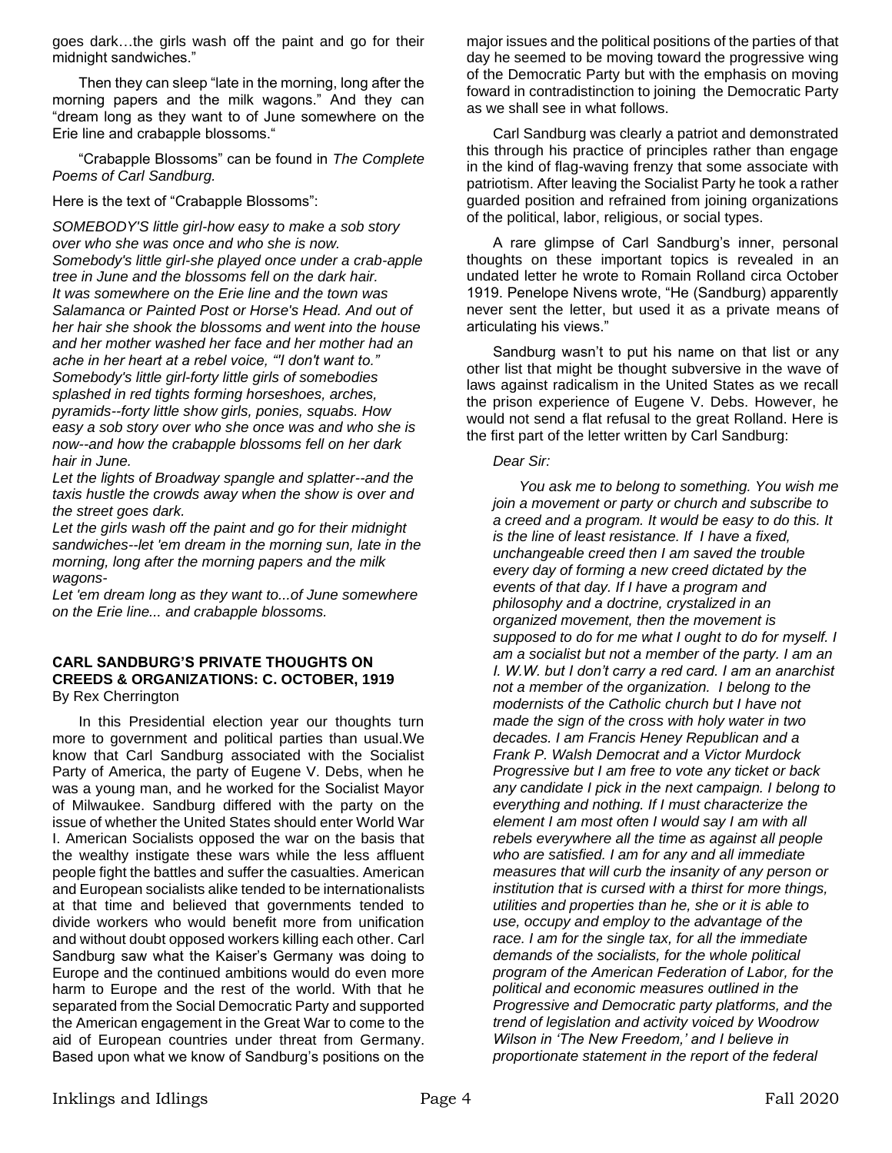goes dark…the girls wash off the paint and go for their midnight sandwiches."

Then they can sleep "late in the morning, long after the morning papers and the milk wagons." And they can "dream long as they want to of June somewhere on the Erie line and crabapple blossoms."

"Crabapple Blossoms" can be found in *The Complete Poems of Carl Sandburg.* 

Here is the text of "Crabapple Blossoms":

*SOMEBODY'S little girl-how easy to make a sob story over who she was once and who she is now. Somebody's little girl-she played once under a crab-apple tree in June and the blossoms fell on the dark hair. It was somewhere on the Erie line and the town was Salamanca or Painted Post or Horse's Head. And out of her hair she shook the blossoms and went into the house and her mother washed her face and her mother had an ache in her heart at a rebel voice, "'I don't want to." Somebody's little girl-forty little girls of somebodies splashed in red tights forming horseshoes, arches, pyramids--forty little show girls, ponies, squabs. How easy a sob story over who she once was and who she is now--and how the crabapple blossoms fell on her dark hair in June.*

*Let the lights of Broadway spangle and splatter--and the taxis hustle the crowds away when the show is over and the street goes dark.*

*Let the girls wash off the paint and go for their midnight sandwiches--let 'em dream in the morning sun, late in the morning, long after the morning papers and the milk wagons-*

*Let 'em dream long as they want to...of June somewhere on the Erie line... and crabapple blossoms.*

#### **CARL SANDBURG'S PRIVATE THOUGHTS ON CREEDS & ORGANIZATIONS: C. OCTOBER, 1919**  By Rex Cherrington

In this Presidential election year our thoughts turn more to government and political parties than usual.We know that Carl Sandburg associated with the Socialist Party of America, the party of Eugene V. Debs, when he was a young man, and he worked for the Socialist Mayor of Milwaukee. Sandburg differed with the party on the issue of whether the United States should enter World War I. American Socialists opposed the war on the basis that the wealthy instigate these wars while the less affluent people fight the battles and suffer the casualties. American and European socialists alike tended to be internationalists at that time and believed that governments tended to divide workers who would benefit more from unification and without doubt opposed workers killing each other. Carl Sandburg saw what the Kaiser's Germany was doing to Europe and the continued ambitions would do even more harm to Europe and the rest of the world. With that he separated from the Social Democratic Party and supported the American engagement in the Great War to come to the aid of European countries under threat from Germany. Based upon what we know of Sandburg's positions on the

major issues and the political positions of the parties of that day he seemed to be moving toward the progressive wing of the Democratic Party but with the emphasis on moving foward in contradistinction to joining the Democratic Party as we shall see in what follows.

Carl Sandburg was clearly a patriot and demonstrated this through his practice of principles rather than engage in the kind of flag-waving frenzy that some associate with patriotism. After leaving the Socialist Party he took a rather guarded position and refrained from joining organizations of the political, labor, religious, or social types.

A rare glimpse of Carl Sandburg's inner, personal thoughts on these important topics is revealed in an undated letter he wrote to Romain Rolland circa October 1919. Penelope Nivens wrote, "He (Sandburg) apparently never sent the letter, but used it as a private means of articulating his views."

Sandburg wasn't to put his name on that list or any other list that might be thought subversive in the wave of laws against radicalism in the United States as we recall the prison experience of Eugene V. Debs. However, he would not send a flat refusal to the great Rolland. Here is the first part of the letter written by Carl Sandburg:

*Dear Sir:*

*You ask me to belong to something. You wish me join a movement or party or church and subscribe to a creed and a program. It would be easy to do this. It is the line of least resistance. If I have a fixed, unchangeable creed then I am saved the trouble every day of forming a new creed dictated by the events of that day. If I have a program and philosophy and a doctrine, crystalized in an organized movement, then the movement is supposed to do for me what I ought to do for myself. I am a socialist but not a member of the party. I am an I. W.W. but I don't carry a red card. I am an anarchist not a member of the organization. I belong to the modernists of the Catholic church but I have not made the sign of the cross with holy water in two decades. I am Francis Heney Republican and a Frank P. Walsh Democrat and a Victor Murdock Progressive but I am free to vote any ticket or back any candidate I pick in the next campaign. I belong to everything and nothing. If I must characterize the element I am most often I would say I am with all rebels everywhere all the time as against all people who are satisfied. I am for any and all immediate measures that will curb the insanity of any person or institution that is cursed with a thirst for more things, utilities and properties than he, she or it is able to use, occupy and employ to the advantage of the race. I am for the single tax, for all the immediate demands of the socialists, for the whole political program of the American Federation of Labor, for the political and economic measures outlined in the Progressive and Democratic party platforms, and the trend of legislation and activity voiced by Woodrow Wilson in 'The New Freedom,' and I believe in proportionate statement in the report of the federal*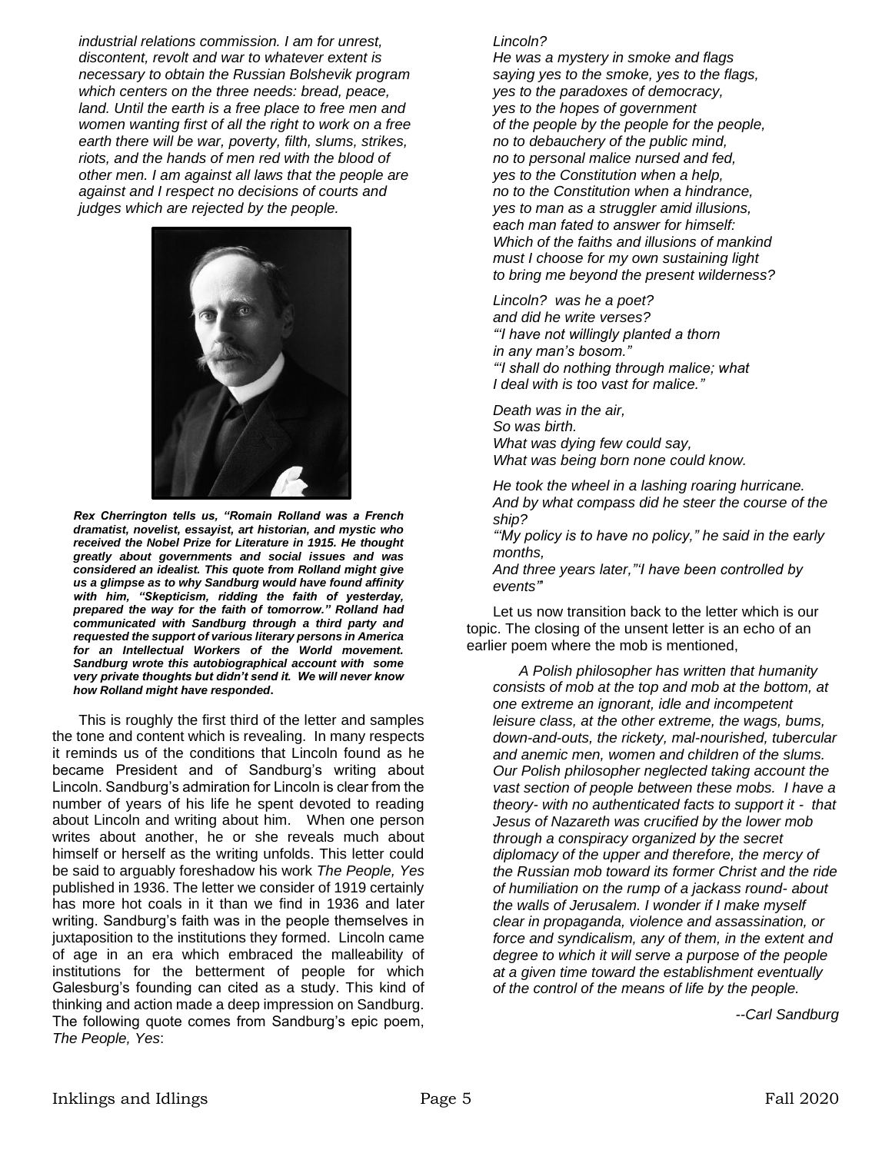*industrial relations commission. I am for unrest, discontent, revolt and war to whatever extent is necessary to obtain the Russian Bolshevik program which centers on the three needs: bread, peace, land. Until the earth is a free place to free men and women wanting first of all the right to work on a free earth there will be war, poverty, filth, slums, strikes, riots, and the hands of men red with the blood of other men. I am against all laws that the people are against and I respect no decisions of courts and judges which are rejected by the people.* 



*Rex Cherrington tells us, "Romain Rolland was a French dramatist, novelist, essayist, art historian, and mystic who received the Nobel Prize for Literature in 1915. He thought greatly about governments and social issues and was considered an idealist. This quote from Rolland might give us a glimpse as to why Sandburg would have found affinity with him, "Skepticism, ridding the faith of yesterday, prepared the way for the faith of tomorrow." Rolland had communicated with Sandburg through a third party and requested the support of various literary persons in America for an Intellectual Workers of the World movement. Sandburg wrote this autobiographical account with some very private thoughts but didn't send it. We will never know how Rolland might have responded***.**

This is roughly the first third of the letter and samples the tone and content which is revealing. In many respects it reminds us of the conditions that Lincoln found as he became President and of Sandburg's writing about Lincoln. Sandburg's admiration for Lincoln is clear from the number of years of his life he spent devoted to reading about Lincoln and writing about him. When one person writes about another, he or she reveals much about himself or herself as the writing unfolds. This letter could be said to arguably foreshadow his work *The People, Yes* published in 1936. The letter we consider of 1919 certainly has more hot coals in it than we find in 1936 and later writing. Sandburg's faith was in the people themselves in juxtaposition to the institutions they formed. Lincoln came of age in an era which embraced the malleability of institutions for the betterment of people for which Galesburg's founding can cited as a study. This kind of thinking and action made a deep impression on Sandburg. The following quote comes from Sandburg's epic poem, *The People, Yes*:

#### *Lincoln?*

*He was a mystery in smoke and flags saying yes to the smoke, yes to the flags, yes to the paradoxes of democracy, yes to the hopes of government of the people by the people for the people, no to debauchery of the public mind, no to personal malice nursed and fed, yes to the Constitution when a help, no to the Constitution when a hindrance, yes to man as a struggler amid illusions, each man fated to answer for himself: Which of the faiths and illusions of mankind must I choose for my own sustaining light to bring me beyond the present wilderness?*

*Lincoln? was he a poet? and did he write verses? "'I have not willingly planted a thorn in any man's bosom." "'I shall do nothing through malice; what I deal with is too vast for malice."*

*Death was in the air, So was birth. What was dying few could say, What was being born none could know.*

*He took the wheel in a lashing roaring hurricane. And by what compass did he steer the course of the ship?*

*"'My policy is to have no policy," he said in the early months,*

*And three years later,"'I have been controlled by events"*'

Let us now transition back to the letter which is our topic. The closing of the unsent letter is an echo of an earlier poem where the mob is mentioned,

*A Polish philosopher has written that humanity consists of mob at the top and mob at the bottom, at one extreme an ignorant, idle and incompetent leisure class, at the other extreme, the wags, bums, down-and-outs, the rickety, mal-nourished, tubercular and anemic men, women and children of the slums. Our Polish philosopher neglected taking account the vast section of people between these mobs. I have a theory- with no authenticated facts to support it - that Jesus of Nazareth was crucified by the lower mob through a conspiracy organized by the secret diplomacy of the upper and therefore, the mercy of the Russian mob toward its former Christ and the ride of humiliation on the rump of a jackass round- about the walls of Jerusalem. I wonder if I make myself clear in propaganda, violence and assassination, or force and syndicalism, any of them, in the extent and degree to which it will serve a purpose of the people at a given time toward the establishment eventually of the control of the means of life by the people.*

*--Carl Sandburg*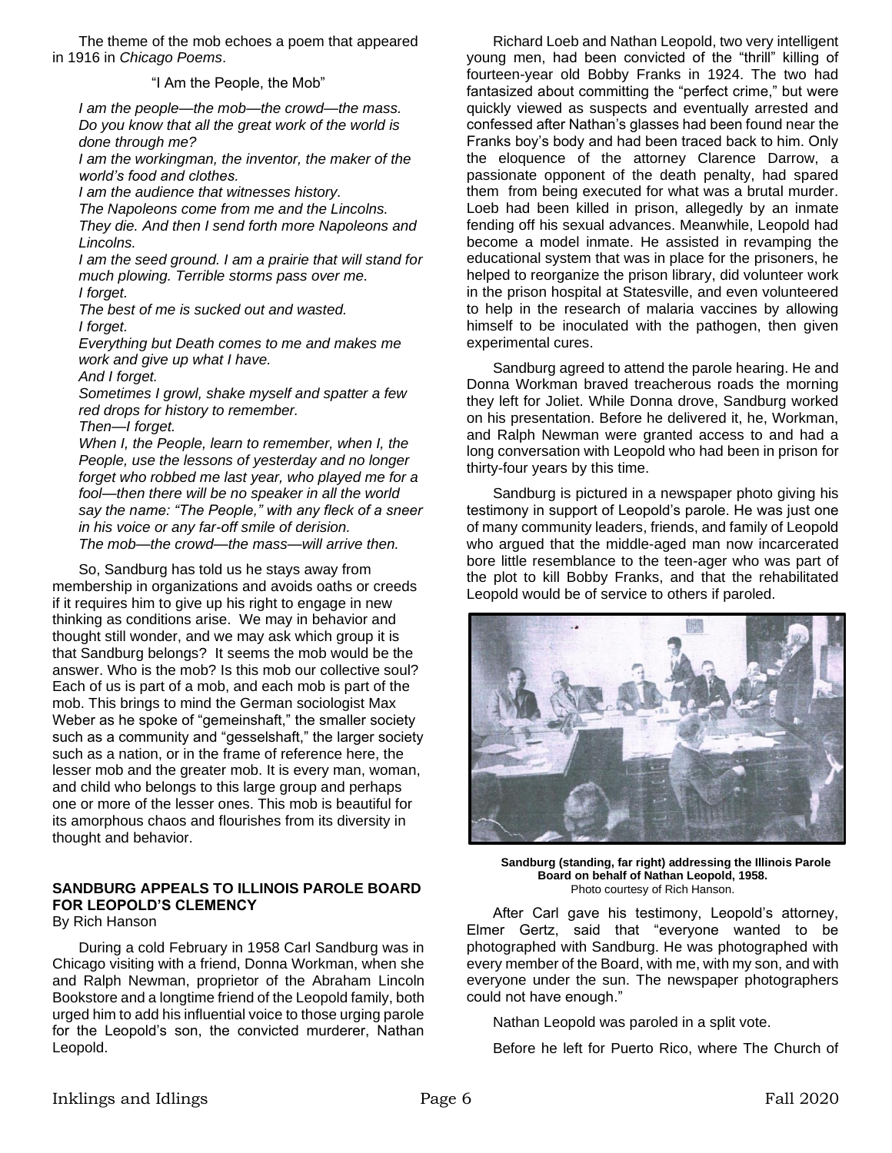The theme of the mob echoes a poem that appeared in 1916 in *Chicago Poems*.

"I Am the People, the Mob"

*I am the people—the mob—the crowd—the mass. Do you know that all the great work of the world is done through me?*

*I am the workingman, the inventor, the maker of the world's food and clothes.*

*I am the audience that witnesses history.*

*The Napoleons come from me and the Lincolns.* 

*They die. And then I send forth more Napoleons and Lincolns.*

*I am the seed ground. I am a prairie that will stand for much plowing. Terrible storms pass over me. I forget.*

*The best of me is sucked out and wasted. I forget.*

*Everything but Death comes to me and makes me work and give up what I have.*

*And I forget.*

*Sometimes I growl, shake myself and spatter a few red drops for history to remember.*

*Then—I forget.*

*When I, the People, learn to remember, when I, the People, use the lessons of yesterday and no longer forget who robbed me last year, who played me for a fool—then there will be no speaker in all the world say the name: "The People," with any fleck of a sneer in his voice or any far-off smile of derision. The mob—the crowd—the mass—will arrive then.*

So, Sandburg has told us he stays away from membership in organizations and avoids oaths or creeds if it requires him to give up his right to engage in new thinking as conditions arise. We may in behavior and thought still wonder, and we may ask which group it is that Sandburg belongs? It seems the mob would be the answer. Who is the mob? Is this mob our collective soul? Each of us is part of a mob, and each mob is part of the mob. This brings to mind the German sociologist Max Weber as he spoke of "gemeinshaft," the smaller society such as a community and "gesselshaft," the larger society such as a nation, or in the frame of reference here, the lesser mob and the greater mob. It is every man, woman, and child who belongs to this large group and perhaps one or more of the lesser ones. This mob is beautiful for its amorphous chaos and flourishes from its diversity in thought and behavior.

# **SANDBURG APPEALS TO ILLINOIS PAROLE BOARD FOR LEOPOLD'S CLEMENCY**

By Rich Hanson

During a cold February in 1958 Carl Sandburg was in Chicago visiting with a friend, Donna Workman, when she and Ralph Newman, proprietor of the Abraham Lincoln Bookstore and a longtime friend of the Leopold family, both urged him to add his influential voice to those urging parole for the Leopold's son, the convicted murderer, Nathan Leopold.

Richard Loeb and Nathan Leopold, two very intelligent young men, had been convicted of the "thrill" killing of fourteen-year old Bobby Franks in 1924. The two had fantasized about committing the "perfect crime," but were quickly viewed as suspects and eventually arrested and confessed after Nathan's glasses had been found near the Franks boy's body and had been traced back to him. Only the eloquence of the attorney Clarence Darrow, a passionate opponent of the death penalty, had spared them from being executed for what was a brutal murder. Loeb had been killed in prison, allegedly by an inmate fending off his sexual advances. Meanwhile, Leopold had become a model inmate. He assisted in revamping the educational system that was in place for the prisoners, he helped to reorganize the prison library, did volunteer work in the prison hospital at Statesville, and even volunteered to help in the research of malaria vaccines by allowing himself to be inoculated with the pathogen, then given experimental cures.

Sandburg agreed to attend the parole hearing. He and Donna Workman braved treacherous roads the morning they left for Joliet. While Donna drove, Sandburg worked on his presentation. Before he delivered it, he, Workman, and Ralph Newman were granted access to and had a long conversation with Leopold who had been in prison for thirty-four years by this time.

Sandburg is pictured in a newspaper photo giving his testimony in support of Leopold's parole. He was just one of many community leaders, friends, and family of Leopold who argued that the middle-aged man now incarcerated bore little resemblance to the teen-ager who was part of the plot to kill Bobby Franks, and that the rehabilitated Leopold would be of service to others if paroled.



**Sandburg (standing, far right) addressing the Illinois Parole Board on behalf of Nathan Leopold, 1958.**  Photo courtesy of Rich Hanson.

After Carl gave his testimony, Leopold's attorney, Elmer Gertz, said that "everyone wanted to be photographed with Sandburg. He was photographed with every member of the Board, with me, with my son, and with everyone under the sun. The newspaper photographers could not have enough."

Nathan Leopold was paroled in a split vote.

Before he left for Puerto Rico, where The Church of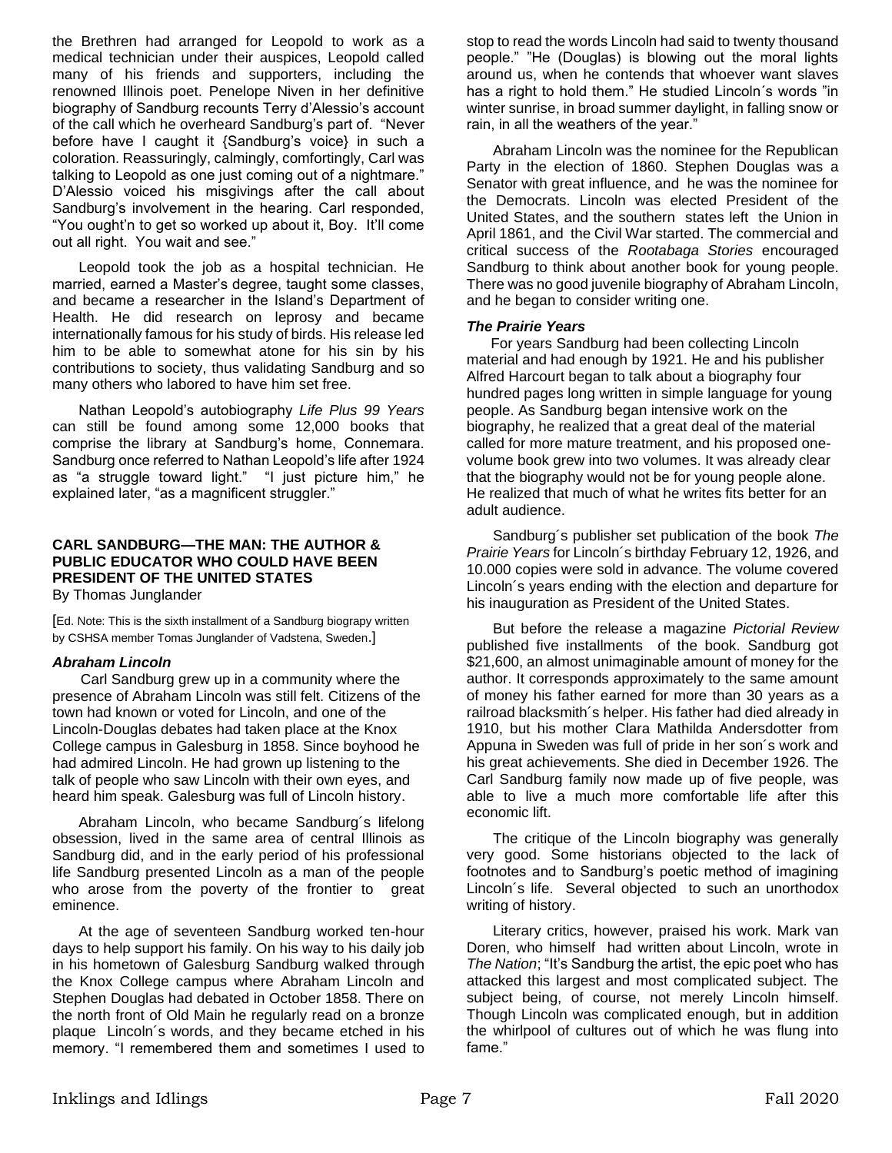the Brethren had arranged for Leopold to work as a medical technician under their auspices, Leopold called many of his friends and supporters, including the renowned Illinois poet. Penelope Niven in her definitive biography of Sandburg recounts Terry d'Alessio's account of the call which he overheard Sandburg's part of. "Never before have I caught it {Sandburg's voice} in such a coloration. Reassuringly, calmingly, comfortingly, Carl was talking to Leopold as one just coming out of a nightmare." D'Alessio voiced his misgivings after the call about Sandburg's involvement in the hearing. Carl responded, "You ought'n to get so worked up about it, Boy. It'll come out all right. You wait and see."

Leopold took the job as a hospital technician. He married, earned a Master's degree, taught some classes, and became a researcher in the Island's Department of Health. He did research on leprosy and became internationally famous for his study of birds. His release led him to be able to somewhat atone for his sin by his contributions to society, thus validating Sandburg and so many others who labored to have him set free.

Nathan Leopold's autobiography *Life Plus 99 Years* can still be found among some 12,000 books that comprise the library at Sandburg's home, Connemara. Sandburg once referred to Nathan Leopold's life after 1924 as "a struggle toward light." "I just picture him," he explained later, "as a magnificent struggler."

#### **CARL SANDBURG—THE MAN: THE AUTHOR & PUBLIC EDUCATOR WHO COULD HAVE BEEN PRESIDENT OF THE UNITED STATES** By Thomas Junglander

[Ed. Note: This is the sixth installment of a Sandburg biograpy written by CSHSA member Tomas Junglander of Vadstena, Sweden.]

#### *Abraham Lincoln*

 Carl Sandburg grew up in a community where the presence of Abraham Lincoln was still felt. Citizens of the town had known or voted for Lincoln, and one of the Lincoln-Douglas debates had taken place at the Knox College campus in Galesburg in 1858. Since boyhood he had admired Lincoln. He had grown up listening to the talk of people who saw Lincoln with their own eyes, and heard him speak. Galesburg was full of Lincoln history.

Abraham Lincoln, who became Sandburg´s lifelong obsession, lived in the same area of central Illinois as Sandburg did, and in the early period of his professional life Sandburg presented Lincoln as a man of the people who arose from the poverty of the frontier to great eminence.

At the age of seventeen Sandburg worked ten-hour days to help support his family. On his way to his daily job in his hometown of Galesburg Sandburg walked through the Knox College campus where Abraham Lincoln and Stephen Douglas had debated in October 1858. There on the north front of Old Main he regularly read on a bronze plaque Lincoln´s words, and they became etched in his memory. "I remembered them and sometimes I used to

stop to read the words Lincoln had said to twenty thousand people." "He (Douglas) is blowing out the moral lights around us, when he contends that whoever want slaves has a right to hold them." He studied Lincoln´s words "in winter sunrise, in broad summer daylight, in falling snow or rain, in all the weathers of the year."

Abraham Lincoln was the nominee for the Republican Party in the election of 1860. Stephen Douglas was a Senator with great influence, and he was the nominee for the Democrats. Lincoln was elected President of the United States, and the southern states left the Union in April 1861, and the Civil War started. The commercial and critical success of the *Rootabaga Stories* encouraged Sandburg to think about another book for young people. There was no good juvenile biography of Abraham Lincoln, and he began to consider writing one.

### *The Prairie Years*

 For years Sandburg had been collecting Lincoln material and had enough by 1921. He and his publisher Alfred Harcourt began to talk about a biography four hundred pages long written in simple language for young people. As Sandburg began intensive work on the biography, he realized that a great deal of the material called for more mature treatment, and his proposed onevolume book grew into two volumes. It was already clear that the biography would not be for young people alone. He realized that much of what he writes fits better for an adult audience.

Sandburg´s publisher set publication of the book *The Prairie Years* for Lincoln´s birthday February 12, 1926, and 10.000 copies were sold in advance. The volume covered Lincoln´s years ending with the election and departure for his inauguration as President of the United States.

But before the release a magazine *Pictorial Review* published five installments of the book. Sandburg got \$21,600, an almost unimaginable amount of money for the author. It corresponds approximately to the same amount of money his father earned for more than 30 years as a railroad blacksmith´s helper. His father had died already in 1910, but his mother Clara Mathilda Andersdotter from Appuna in Sweden was full of pride in her son´s work and his great achievements. She died in December 1926. The Carl Sandburg family now made up of five people, was able to live a much more comfortable life after this economic lift.

The critique of the Lincoln biography was generally very good. Some historians objected to the lack of footnotes and to Sandburg's poetic method of imagining Lincoln´s life. Several objected to such an unorthodox writing of history.

Literary critics, however, praised his work. Mark van Doren, who himself had written about Lincoln, wrote in *The Nation*; "It's Sandburg the artist, the epic poet who has attacked this largest and most complicated subject. The subject being, of course, not merely Lincoln himself. Though Lincoln was complicated enough, but in addition the whirlpool of cultures out of which he was flung into fame."